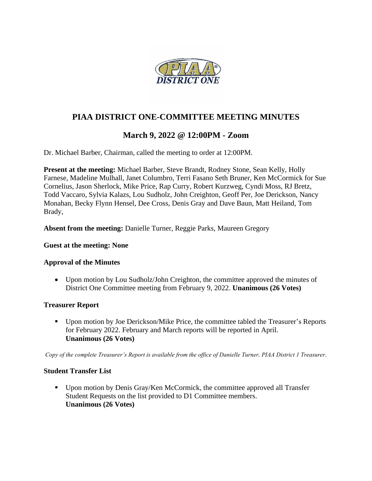

# **PIAA DISTRICT ONE-COMMITTEE MEETING MINUTES**

# **March 9, 2022 @ 12:00PM - Zoom**

Dr. Michael Barber, Chairman, called the meeting to order at 12:00PM.

**Present at the meeting:** Michael Barber, Steve Brandt, Rodney Stone, Sean Kelly, Holly Farnese, Madeline Mulhall, Janet Columbro, Terri Fasano Seth Bruner, Ken McCormick for Sue Cornelius, Jason Sherlock, Mike Price, Rap Curry, Robert Kurzweg, Cyndi Moss, RJ Bretz, Todd Vaccaro, Sylvia Kalazs, Lou Sudholz, John Creighton, Geoff Per, Joe Derickson, Nancy Monahan, Becky Flynn Hensel, Dee Cross, Denis Gray and Dave Baun, Matt Heiland, Tom Brady,

**Absent from the meeting:** Danielle Turner, Reggie Parks, Maureen Gregory

### **Guest at the meeting: None**

### **Approval of the Minutes**

• Upon motion by Lou Sudholz/John Creighton, the committee approved the minutes of District One Committee meeting from February 9, 2022. **Unanimous (26 Votes)**

### **Treasurer Report**

■ Upon motion by Joe Derickson/Mike Price, the committee tabled the Treasurer's Reports for February 2022. February and March reports will be reported in April. **Unanimous (26 Votes)**

*Copy of the complete Treasurer's Report is available from the office of Danielle Turner, PIAA District 1 Treasurer.*

### **Student Transfer List**

■ Upon motion by Denis Gray/Ken McCormick, the committee approved all Transfer Student Requests on the list provided to D1 Committee members. **Unanimous (26 Votes)**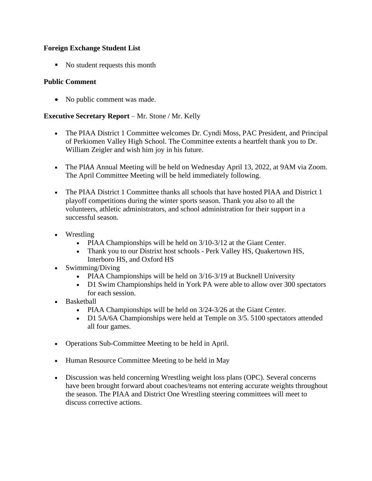## **Foreign Exchange Student List**

■ No student requests this month

## **Public Comment**

• No public comment was made.

## **Executive Secretary Report** – Mr. Stone / Mr. Kelly

- The PIAA District 1 Committee welcomes Dr. Cyndi Moss, PAC President, and Principal of Perkiomen Valley High School. The Committee extents a heartfelt thank you to Dr. William Zeigler and wish him joy in his future.
- The PIAA Annual Meeting will be held on Wednesday April 13, 2022, at 9AM via Zoom. The April Committee Meeting will be held immediately following.
- The PIAA District 1 Committee thanks all schools that have hosted PIAA and District 1 playoff competitions during the winter sports season. Thank you also to all the volunteers, athletic administrators, and school administration for their support in a successful season.
- Wrestling
	- PIAA Championships will be held on  $3/10-3/12$  at the Giant Center.
	- Thank you to our Distrixt host schools Perk Valley HS, Quakertown HS, Interboro HS, and Oxford HS
- Swimming/Diving
	- PIAA Championships will be held on 3/16-3/19 at Bucknell University
	- D1 Swim Championships held in York PA were able to allow over 300 spectators for each session.
- Basketball
	- PIAA Championships will be held on  $3/24-3/26$  at the Giant Center.
	- D1 5A/6A Championships were held at Temple on 3/5. 5100 spectators attended all four games.
- Operations Sub-Committee Meeting to be held in April.
- Human Resource Committee Meeting to be held in May
- Discussion was held concerning Wrestling weight loss plans (OPC). Several concerns have been brought forward about coaches/teams not entering accurate weights throughout the season. The PIAA and District One Wrestling steering committees will meet to discuss corrective actions.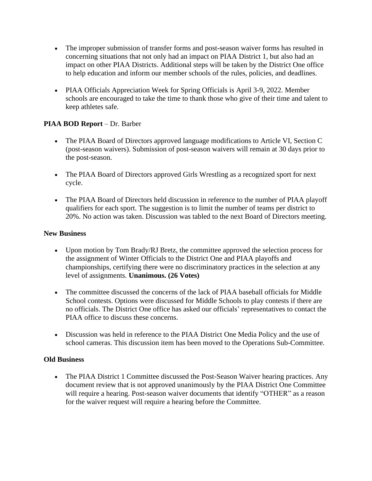- The improper submission of transfer forms and post-season waiver forms has resulted in concerning situations that not only had an impact on PIAA District 1, but also had an impact on other PIAA Districts. Additional steps will be taken by the District One office to help education and inform our member schools of the rules, policies, and deadlines.
- PIAA Officials Appreciation Week for Spring Officials is April 3-9, 2022. Member schools are encouraged to take the time to thank those who give of their time and talent to keep athletes safe.

## **PIAA BOD Report** – Dr. Barber

- The PIAA Board of Directors approved language modifications to Article VI, Section C (post-season waivers). Submission of post-season waivers will remain at 30 days prior to the post-season.
- The PIAA Board of Directors approved Girls Wrestling as a recognized sport for next cycle.
- The PIAA Board of Directors held discussion in reference to the number of PIAA playoff qualifiers for each sport. The suggestion is to limit the number of teams per district to 20%. No action was taken. Discussion was tabled to the next Board of Directors meeting.

### **New Business**

- Upon motion by Tom Brady/RJ Bretz, the committee approved the selection process for the assignment of Winter Officials to the District One and PIAA playoffs and championships, certifying there were no discriminatory practices in the selection at any level of assignments. **Unanimous. (26 Votes)**
- The committee discussed the concerns of the lack of PIAA baseball officials for Middle School contests. Options were discussed for Middle Schools to play contests if there are no officials. The District One office has asked our officials' representatives to contact the PIAA office to discuss these concerns.
- Discussion was held in reference to the PIAA District One Media Policy and the use of school cameras. This discussion item has been moved to the Operations Sub-Committee.

### **Old Business**

• The PIAA District 1 Committee discussed the Post-Season Waiver hearing practices. Any document review that is not approved unanimously by the PIAA District One Committee will require a hearing. Post-season waiver documents that identify "OTHER" as a reason for the waiver request will require a hearing before the Committee.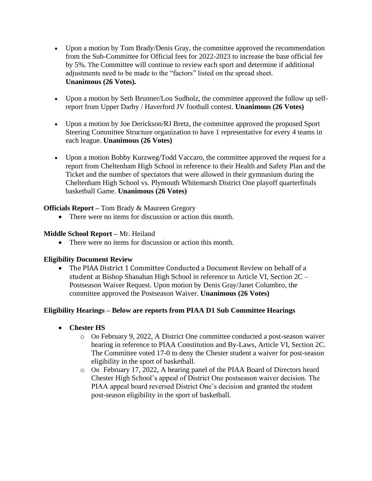- Upon a motion by Tom Brady/Denis Gray, the committee approved the recommendation from the Sub-Committee for Official fees for 2022-2023 to increase the base official fee by 5%. The Committee will continue to review each sport and determine if additional adjustments need to be made to the "factors" listed on the spread sheet. **Unanimous (26 Votes).**
- Upon a motion by Seth Brunner/Lou Sudholz, the committee approved the follow up selfreport from Upper Darby / Haverford JV football contest. **Unanimous (26 Votes)**
- Upon a motion by Joe Derickson/RJ Bretz, the committee approved the proposed Sport Steering Committee Structure organization to have 1 representative for every 4 teams in each league. **Unanimous (26 Votes)**
- Upon a motion Bobby Kurzweg/Todd Vaccaro, the committee approved the request for a report from Cheltenham High School in reference to their Health and Safety Plan and the Ticket and the number of spectators that were allowed in their gymnasium during the Cheltenham High School vs. Plymouth Whitemarsh District One playoff quarterfinals basketball Game. **Unanimous (26 Votes)**

## **Officials Report –** Tom Brady & Maureen Gregory

• There were no items for discussion or action this month.

## **Middle School Report –** Mr. Heiland

• There were no items for discussion or action this month.

## **Eligibility Document Review**

• The PIAA District 1 Committee Conducted a Document Review on behalf of a student at Bishop Shanahan High School in reference to Article VI, Section 2C – Postseason Waiver Request. Upon motion by Denis Gray/Janet Columbro, the committee approved the Postseason Waiver. **Unanimous (26 Votes)**

## **Eligibility Hearings – Below are reports from PIAA D1 Sub Committee Hearings**

- **Chester HS**
	- o On February 9, 2022, A District One committee conducted a post-season waiver hearing in reference to PIAA Constitution and By-Laws, Article VI, Section 2C. The Committee voted 17-0 to deny the Chester student a waiver for post-season eligibility in the sport of basketball.
	- o On February 17, 2022, A hearing panel of the PIAA Board of Directors heard Chester High School's appeal of District One postseason waiver decision. The PIAA appeal board reversed District One's decision and granted the student post-season eligibility in the sport of basketball.